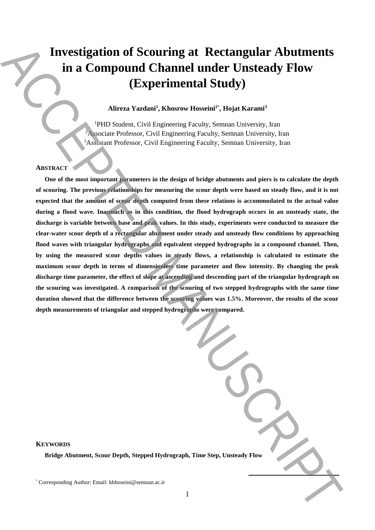# **Investigation of Scouring at Rectangular Abutments in a Compound Channel under Unsteady Flow (Experimental Study)**

# **Alireza Yazdani<sup>1</sup> , Khosrow Hosseini<sup>2</sup>**\* **, Hojat Karami<sup>3</sup>**

<sup>1</sup>PHD Student, Civil Engineering Faculty, Semnan University, Iran <sup>2</sup>Associate Professor, Civil Engineering Faculty, Semnan University, Iran <sup>3</sup>Assistant Professor, Civil Engineering Faculty, Semnan University, Iran

## **ABSTRACT**

**One of the most important parameters in the design of bridge abutments and piers is to calculate the depth of scouring. The previous relationships for measuring the scour depth were based on steady flow, and it is not expected that the amount of scour depth computed from these relations is accommodated to the actual value during a flood wave. Inasmuch as in this condition, the flood hydrograph occurs in an unsteady state, the discharge is variable between base and peak values. In this study, experiments were conducted to measure the clear-water scour depth of a rectangular abutment under steady and unsteady flow conditions by approaching flood waves with triangular hydrographs and equivalent stepped hydrographs in a compound channel. Then, by using the measured scour depths values in steady flows, a relationship is calculated to estimate the maximum scour depth in terms of dimensionless time parameter and flow intensity. By changing the peak discharge time parameter, the effect of slope at ascending and descending part of the triangular hydrograph on the scouring was investigated. A comparison of the scouring of two stepped hydrographs with the same time duration showed that the difference between the scouring values was 1.5%. Moreover, the results of the scour depth measurements of triangular and stepped hydrographs were compared.** Investigation of Scouring at Rectangular Abutments<br>
in a Compound Channel under Unsteady Flow<br>
(EXPERIMENTALS Notare Notaris), the more semi-state is the system in the<br>semi-state of the system in the system in the system

| raph, Time Step, Unsteady Flow |
|--------------------------------|

**KEYWORDS**

**Bridge Abutment, Scour Depth, Stepped Hydrog**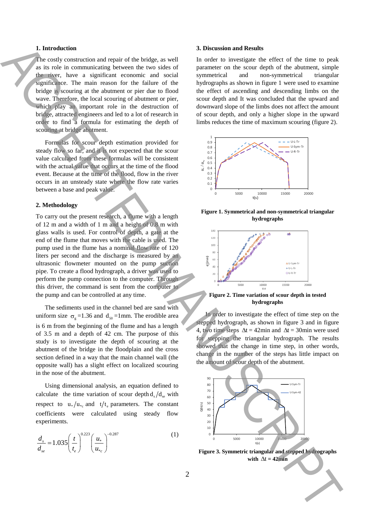## **1. Introduction**

The costly construction and repair of the bridge, as well as its role in communicating between the two sides of the river, have a significant economic and social significance. The main reason for the failure of the bridge is scouring at the abutment or pier due to flood wave. Therefore, the local scouring of abutment or pier, which play an important role in the destruction of bridge, attracted engineers and led to a lot of research in order to find a formula for estimating the depth of scouring at bridge abutment.

Formulas for scour depth estimation provided for steady flow so far, and it is not expected that the scour value calculated from these formulas will be consistent with the actual value that occurs at the time of the flood event. Because at the time of the flood, flow in the river occurs in an unsteady state where the flow rate varies between a base and peak value.

## **2. Methodology**

To carry out the present research, a flume with a length of 12 m and a width of 1 m and a height of 0.8 m with glass walls is used. For control of depth, a gate at the end of the flume that moves with the cable is used. The pump used in the flume has a nominal flow rate of 120 liters per second and the discharge is measured by an ultrasonic flowmeter mounted on the pump suction pipe. To create a flood hydrograph, a driver was used to perform the pump connection to the computer. Through this driver, the command is sent from the computer to the pump and can be controlled at any time. Is the reduction of the sign of the sign of the sign of the sign of the sign of the sign of the sign of the sign of the sign of the sign of the sign of the sign of the sign of the sign of the sign of the sign of the sign

The sediments used in the channel bed are sand with uniform size  $\sigma_{g} = 1.36$  and  $d_{50} = 1$  mm. The erodible area is 6 m from the beginning of the flume and has a length of 3.5 m and a depth of 42 cm. The purpose of this study is to investigate the depth of scouring at the abutment of the bridge in the floodplain and the cross section defined in a way that the main channel wall (the opposite wall) has a slight effect on localized scouring in the nose of the abutment.

Using dimensional analysis, an equation defined to calculate the time variation of scour depth  $d_s/d_{se}$  with respect to  $u_*/u_{\ast_c}$  and  $t/t_e$  parameters. The constant coefficients were calculated using steady flow experiments.

$$
\frac{d_s}{d_{se}} = 1.035 \left(\frac{t}{t_e}\right)^{0.223} \left(\frac{u_*}{u_{*c}}\right)^{-0.287} \tag{1}
$$

#### **3. Discussion and Results**

In order to investigate the effect of the time to peak parameter on the scour depth of the abutment, simple symmetrical and non-symmetrical triangular hydrographs as shown in figure 1 were used to examine the effect of ascending and descending limbs on the scour depth and It was concluded that the upward and downward slope of the limbs does not affect the amount of scour depth, and only a higher slope in the upward limbs reduces the time of maximum scouring (figure 2).



**Figure 1. Symmetrical and non-symmetrical triangular hydrographs**



**Figure 2. Time variation of scour depth in tested hydrographs**

In order to investigate the effect of time step on the stepped hydrograph, as shown in figure 3 and in figure 4, two time steps  $\Delta t = 42$ min and  $\Delta t = 30$ min were used for stepping the triangular hydrograph. The results showed that the change in time step, in other words, change in the number of the steps has little impact on the amount of scour depth of the abutment.



**Figure 3. Symmetric triangular and stepped hydrographs** with  $\Delta t = 42$ min